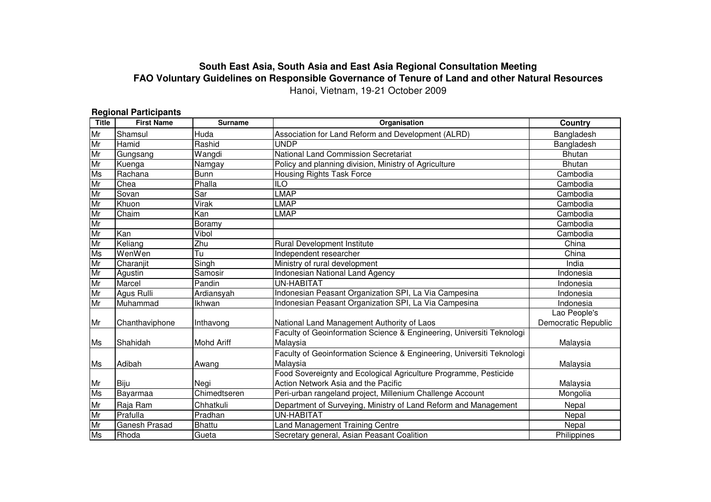## **South East Asia, South Asia and East Asia Regional Consultation Meeting FAO Voluntary Guidelines on Responsible Governance of Tenure of Land and other Natural Resources**Hanoi, Vietnam, 19-21 October 2009

## **Regional Participants**

| <b>Title</b> | <b>First Name</b>    | <b>Surname</b>    | Organisation                                                          | Country             |
|--------------|----------------------|-------------------|-----------------------------------------------------------------------|---------------------|
| Mr           | Shamsul              | Huda              | Association for Land Reform and Development (ALRD)<br>Bangladesh      |                     |
| Mr           | Hamid                | Rashid            | <b>UNDP</b>                                                           | Bangladesh          |
| Mr           | Gungsang             | Wangdi            | National Land Commission Secretariat                                  | <b>Bhutan</b>       |
| Mr           | Kuenga               | Namgay            | Policy and planning division, Ministry of Agriculture                 | <b>Bhutan</b>       |
| Ms           | Rachana              | <b>Bunn</b>       | <b>Housing Rights Task Force</b>                                      | Cambodia            |
| Mr           | Chea                 | Phalla            | $\overline{10}$                                                       | Cambodia            |
| Mr           | Sovan                | Sar               | LMAP                                                                  | Cambodia            |
| Mr           | Khuon                | Virak             | LMAP                                                                  | Cambodia            |
| Mr           | Chaim                | Kan               | <b>LMAP</b>                                                           | Cambodia            |
| Mr           |                      | Boramy            |                                                                       | Cambodia            |
| Mr           | Kan                  | Vibol             |                                                                       | Cambodia            |
| Mr           | Keliang              | Zhu               | <b>Rural Development Institute</b>                                    | China               |
| Ms           | WenWen               | Tu                | Independent researcher                                                | China               |
| Mr           | Charanjit            | Singh             | Ministry of rural development                                         | India               |
| Mr           | Agustin              | Samosir           | Indonesian National Land Agency                                       | Indonesia           |
| Mr           | Marcel               | Pandin            | <b>UN-HABITAT</b>                                                     | Indonesia           |
| Mr           | Agus Rulli           | Ardiansyah        | Indonesian Peasant Organization SPI, La Via Campesina                 | Indonesia           |
| Mr           | Muhammad             | <b>Ikhwan</b>     | Indonesian Peasant Organization SPI, La Via Campesina                 | Indonesia           |
|              |                      |                   |                                                                       | Lao People's        |
| Mr           | Chanthaviphone       | Inthavong         | National Land Management Authority of Laos                            | Democratic Republic |
|              |                      |                   | Faculty of Geoinformation Science & Engineering, Universiti Teknologi |                     |
| Ms           | Shahidah             | <b>Mohd Ariff</b> | Malaysia                                                              | Malaysia            |
|              |                      |                   | Faculty of Geoinformation Science & Engineering, Universiti Teknologi |                     |
| Ms           | Adibah               | Awang             | Malaysia                                                              | Malaysia            |
|              |                      |                   | Food Sovereignty and Ecological Agriculture Programme, Pesticide      |                     |
| Mr           | Biju                 | Negi              | Action Network Asia and the Pacific                                   | Malaysia            |
| Ms           | Bayarmaa             | Chimedtseren      | Peri-urban rangeland project, Millenium Challenge Account             | Mongolia            |
| Mr           | Raja Ram             | Chhatkuli         | Department of Surveying, Ministry of Land Reform and Management       | Nepal               |
| Mr           | Prafulla             | Pradhan           | UN-HABITAT                                                            | Nepal               |
| Mr           | <b>Ganesh Prasad</b> | <b>Bhattu</b>     | and Management Training Centre                                        | Nepal               |
| Ms           | Rhoda                | Gueta             | Secretary general, Asian Peasant Coalition                            | Philippines         |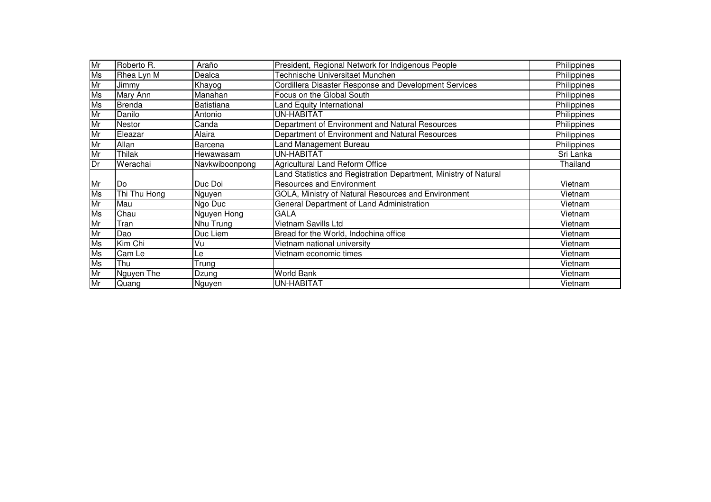| Mr        | Roberto R.    | Araño          | President, Regional Network for Indigenous People                | Philippines |
|-----------|---------------|----------------|------------------------------------------------------------------|-------------|
| <b>Ms</b> | Rhea Lyn M    | Dealca         | Technische Universitaet Munchen                                  | Philippines |
| Mr        | Jimmy         | Khayog         | Cordillera Disaster Response and Development Services            | Philippines |
| Ms        | Mary Ann      | Manahan        | Focus on the Global South                                        | Philippines |
| Ms        | <b>Brenda</b> | Batistiana     | and Equity International                                         | Philippines |
| Mr        | Danilo        | Antonio        | <b>UN-HABITAT</b>                                                | Philippines |
| Mr        | <b>Nestor</b> | Canda          | Department of Environment and Natural Resources                  | Philippines |
| Mr        | Eleazar       | Alaira         | Department of Environment and Natural Resources                  | Philippines |
| Mr        | Allan         | Barcena        | Land Management Bureau                                           | Philippines |
| Mr        | Thilak        | Hewawasam      | UN-HABITAT                                                       | Sri Lanka   |
| Dr        | Werachai      | Navkwiboonpong | <b>Agricultural Land Reform Office</b>                           | Thailand    |
|           |               |                | Land Statistics and Registration Department, Ministry of Natural |             |
| Mr        | lDo           | Duc Doi        | <b>Resources and Environment</b>                                 | Vietnam     |
| Ms        | Thi Thu Hong  | Nguyen         | GOLA, Ministry of Natural Resources and Environment              | Vietnam     |
| Mr        | Mau           | Ngo Duc        | General Department of Land Administration                        | Vietnam     |
| <b>Ms</b> | Chau          | Nguyen Hong    | <b>GALA</b>                                                      | Vietnam     |
| Mr        | Tran          | Nhu Trung      | <b>Vietnam Savills Ltd</b>                                       | Vietnam     |
| Mr        | Dao           | Duc Liem       | Bread for the World, Indochina office                            | Vietnam     |
| Ms        | Kim Chi       | Vu             | Vietnam national university                                      | Vietnam     |
| <b>Ms</b> | Cam Le        | Le             | Vietnam economic times                                           | Vietnam     |
| <b>Ms</b> | Thu           | Trung          |                                                                  | Vietnam     |
| Mr        | Nguyen The    | Dzung          | <b>World Bank</b>                                                | Vietnam     |
| Mr        | Quang         | <b>Nguyen</b>  | UN-HABITAT<br>Vietnam                                            |             |